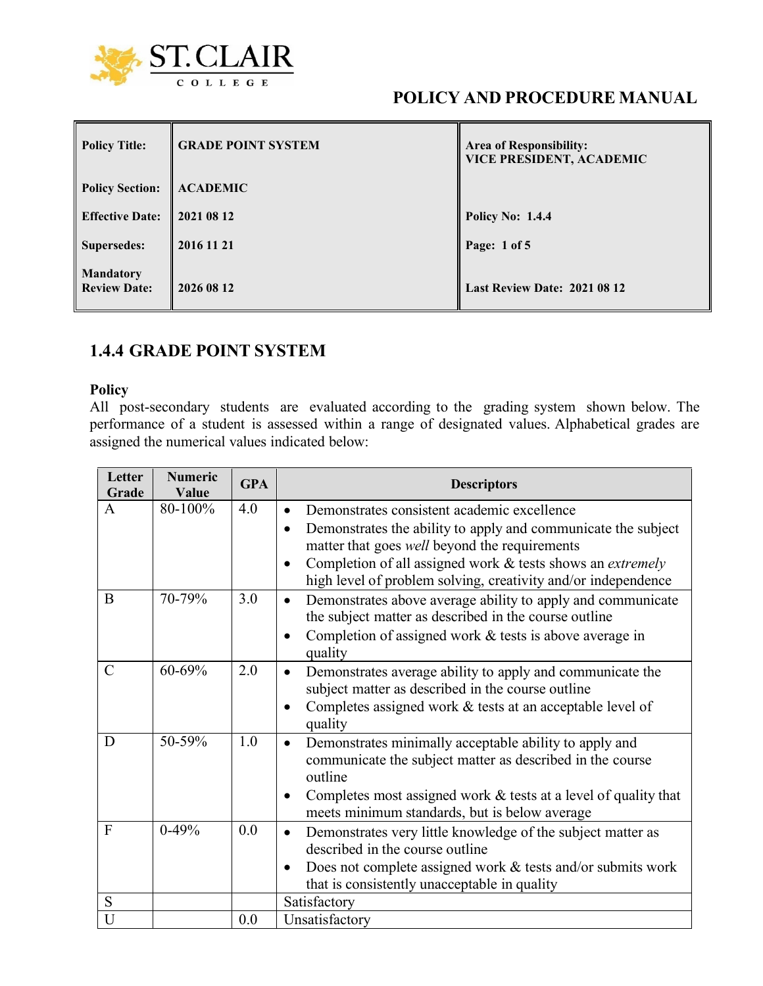

# **POLICY AND PROCEDURE MANUAL**

| <b>Policy Title:</b>                    | <b>GRADE POINT SYSTEM</b> | <b>Area of Responsibility:</b><br>VICE PRESIDENT, ACADEMIC |  |
|-----------------------------------------|---------------------------|------------------------------------------------------------|--|
| <b>Policy Section:</b>                  | <b>ACADEMIC</b>           |                                                            |  |
| <b>Effective Date:</b>                  | 2021 08 12                | <b>Policy No: 1.4.4</b>                                    |  |
| <b>Supersedes:</b>                      | 2016 11 21                | Page: 1 of 5                                               |  |
| <b>Mandatory</b><br><b>Review Date:</b> | 2026 08 12                | Last Review Date: 2021 08 12                               |  |

# **1.4.4 GRADE POINT SYSTEM**

### **Policy**

All post-secondary students are evaluated according to the grading system shown below. The performance of a student is assessed within a range of designated values. Alphabetical grades are assigned the numerical values indicated below:

| Letter<br>Grade | <b>Numeric</b><br>Value | <b>GPA</b> | <b>Descriptors</b>                                                                                                                |  |  |
|-----------------|-------------------------|------------|-----------------------------------------------------------------------------------------------------------------------------------|--|--|
| $\mathsf{A}$    | 80-100%                 | 4.0        | Demonstrates consistent academic excellence<br>$\bullet$                                                                          |  |  |
|                 |                         |            | Demonstrates the ability to apply and communicate the subject<br>$\bullet$                                                        |  |  |
|                 |                         |            | matter that goes well beyond the requirements                                                                                     |  |  |
|                 |                         |            | Completion of all assigned work & tests shows an extremely<br>$\bullet$                                                           |  |  |
|                 |                         |            | high level of problem solving, creativity and/or independence                                                                     |  |  |
| B               | 70-79%                  | 3.0        | Demonstrates above average ability to apply and communicate<br>$\bullet$<br>the subject matter as described in the course outline |  |  |
|                 |                         |            | Completion of assigned work & tests is above average in<br>$\bullet$<br>quality                                                   |  |  |
| $\mathcal{C}$   | 60-69%                  | 2.0        | Demonstrates average ability to apply and communicate the<br>subject matter as described in the course outline                    |  |  |
|                 |                         |            | Completes assigned work & tests at an acceptable level of<br>$\bullet$<br>quality                                                 |  |  |
| D               | 50-59%                  | 1.0        | Demonstrates minimally acceptable ability to apply and<br>$\bullet$                                                               |  |  |
|                 |                         |            | communicate the subject matter as described in the course<br>outline                                                              |  |  |
|                 |                         |            | Completes most assigned work $&$ tests at a level of quality that<br>$\bullet$<br>meets minimum standards, but is below average   |  |  |
| $\mathbf{F}$    | $0-49%$                 | 0.0        | Demonstrates very little knowledge of the subject matter as<br>$\bullet$<br>described in the course outline                       |  |  |
|                 |                         |            | Does not complete assigned work & tests and/or submits work<br>$\bullet$                                                          |  |  |
|                 |                         |            | that is consistently unacceptable in quality                                                                                      |  |  |
| S               |                         |            | Satisfactory                                                                                                                      |  |  |
| U               |                         | 0.0        | Unsatisfactory                                                                                                                    |  |  |
|                 |                         |            |                                                                                                                                   |  |  |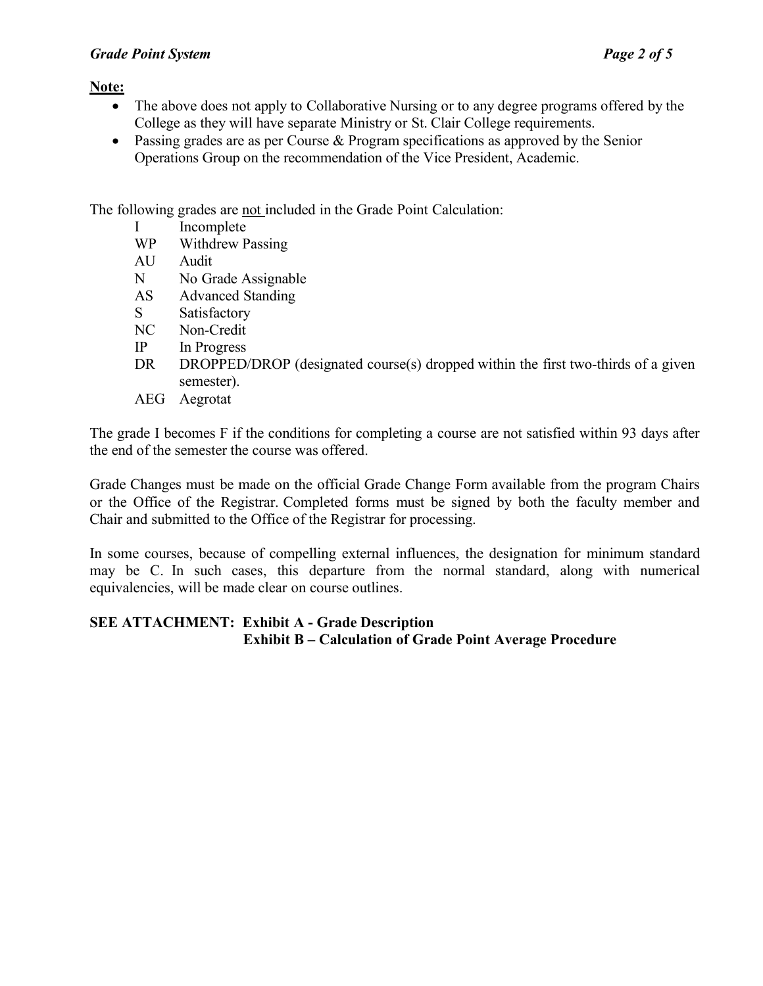### *Grade Point System Page 2 of 5*

### **Note:**

- The above does not apply to Collaborative Nursing or to any degree programs offered by the College as they will have separate Ministry or St. Clair College requirements.
- Passing grades are as per Course & Program specifications as approved by the Senior Operations Group on the recommendation of the Vice President, Academic.

The following grades are not included in the Grade Point Calculation:

- I Incomplete
- WP Withdrew Passing
- AU Audit
- N No Grade Assignable<br>AS Advanced Standing
- Advanced Standing
- S Satisfactory
- NC Non-Credit
- IP In Progress
- DR DROPPED/DROP (designated course(s) dropped within the first two-thirds of a given semester).
- AEG Aegrotat

The grade I becomes F if the conditions for completing a course are not satisfied within 93 days after the end of the semester the course was offered.

Grade Changes must be made on the official Grade Change Form available from the program Chairs or the Office of the Registrar. Completed forms must be signed by both the faculty member and Chair and submitted to the Office of the Registrar for processing.

In some courses, because of compelling external influences, the designation for minimum standard may be C. In such cases, this departure from the normal standard, along with numerical equivalencies, will be made clear on course outlines.

## **SEE ATTACHMENT: Exhibit A - Grade Description Exhibit B – Calculation of Grade Point Average Procedure**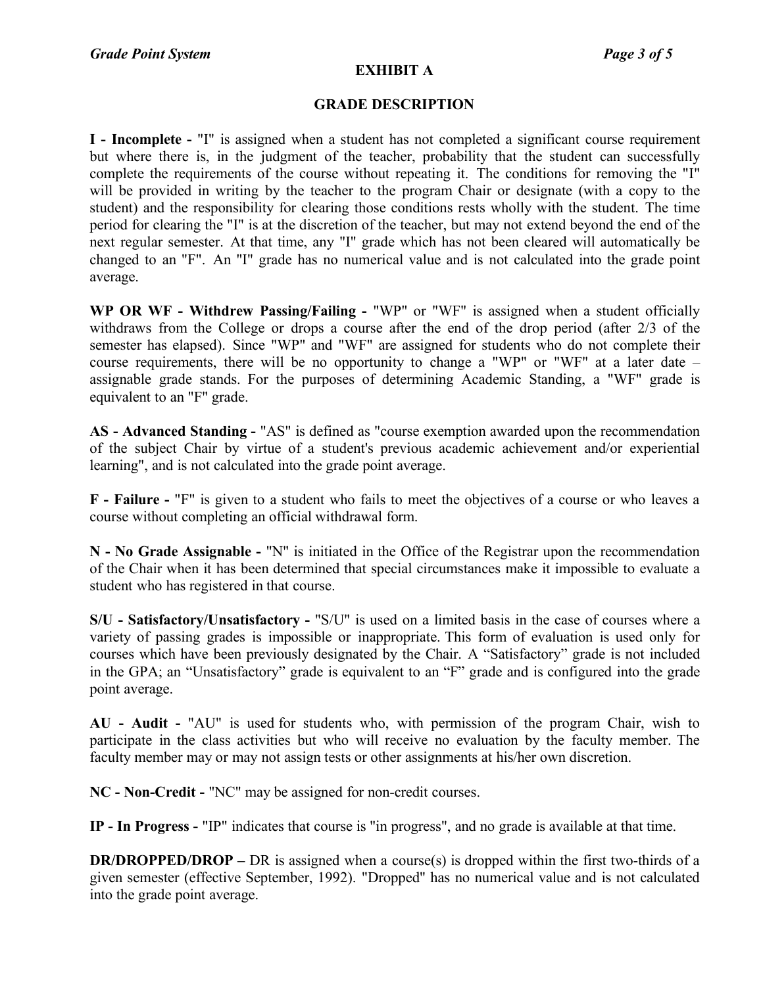#### **EXHIBIT A**

#### **GRADE DESCRIPTION**

**I - Incomplete -** "I" is assigned when a student has not completed a significant course requirement but where there is, in the judgment of the teacher, probability that the student can successfully complete the requirements of the course without repeating it. The conditions for removing the "I" will be provided in writing by the teacher to the program Chair or designate (with a copy to the student) and the responsibility for clearing those conditions rests wholly with the student. The time period for clearing the "I" is at the discretion of the teacher, but may not extend beyond the end of the next regular semester. At that time, any "I" grade which has not been cleared will automatically be changed to an "F". An "I" grade has no numerical value and is not calculated into the grade point average.

**WP OR WF - Withdrew Passing/Failing -** "WP" or "WF" is assigned when a student officially withdraws from the College or drops a course after the end of the drop period (after 2/3 of the semester has elapsed). Since "WP" and "WF" are assigned for students who do not complete their course requirements, there will be no opportunity to change a "WP" or "WF" at a later date – assignable grade stands. For the purposes of determining Academic Standing, a "WF" grade is equivalent to an "F" grade.

**AS - Advanced Standing -** "AS" is defined as "course exemption awarded upon the recommendation of the subject Chair by virtue of a student's previous academic achievement and/or experiential learning", and is not calculated into the grade point average.

**F - Failure -** "F" is given to a student who fails to meet the objectives of a course or who leaves a course without completing an official withdrawal form.

**N - No Grade Assignable -** "N" is initiated in the Office of the Registrar upon the recommendation of the Chair when it has been determined that special circumstances make it impossible to evaluate a student who has registered in that course.

**S/U - Satisfactory/Unsatisfactory -** "S/U" is used on a limited basis in the case of courses where a variety of passing grades is impossible or inappropriate. This form of evaluation is used only for courses which have been previously designated by the Chair. A "Satisfactory" grade is not included in the GPA; an "Unsatisfactory" grade is equivalent to an "F" grade and is configured into the grade point average.

**AU - Audit -** "AU" is used for students who, with permission of the program Chair, wish to participate in the class activities but who will receive no evaluation by the faculty member. The faculty member may or may not assign tests or other assignments at his/her own discretion.

**NC - Non-Credit -** "NC" may be assigned for non-credit courses.

**IP - In Progress -** "IP" indicates that course is "in progress", and no grade is available at that time.

**DR/DROPPED/DROP** – DR is assigned when a course(s) is dropped within the first two-thirds of a given semester (effective September, 1992). "Dropped" has no numerical value and is not calculated into the grade point average.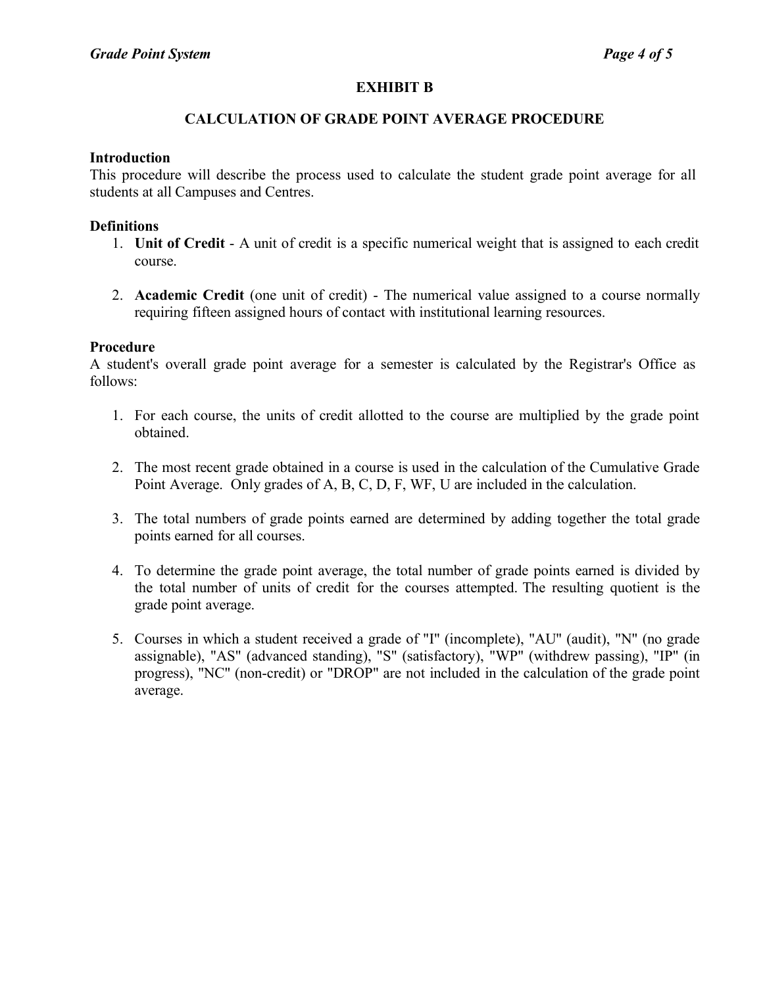### **EXHIBIT B**

## **CALCULATION OF GRADE POINT AVERAGE PROCEDURE**

#### **Introduction**

This procedure will describe the process used to calculate the student grade point average for all students at all Campuses and Centres.

#### **Definitions**

- 1. **Unit of Credit** A unit of credit is a specific numerical weight that is assigned to each credit course.
- 2. **Academic Credit** (one unit of credit) The numerical value assigned to a course normally requiring fifteen assigned hours of contact with institutional learning resources.

#### **Procedure**

A student's overall grade point average for a semester is calculated by the Registrar's Office as follows:

- 1. For each course, the units of credit allotted to the course are multiplied by the grade point obtained.
- 2. The most recent grade obtained in a course is used in the calculation of the Cumulative Grade Point Average. Only grades of A, B, C, D, F, WF, U are included in the calculation.
- 3. The total numbers of grade points earned are determined by adding together the total grade points earned for all courses.
- 4. To determine the grade point average, the total number of grade points earned is divided by the total number of units of credit for the courses attempted. The resulting quotient is the grade point average.
- 5. Courses in which a student received a grade of "I" (incomplete), "AU" (audit), "N" (no grade assignable), "AS" (advanced standing), "S" (satisfactory), "WP" (withdrew passing), "IP" (in progress), "NC" (non-credit) or "DROP" are not included in the calculation of the grade point average.